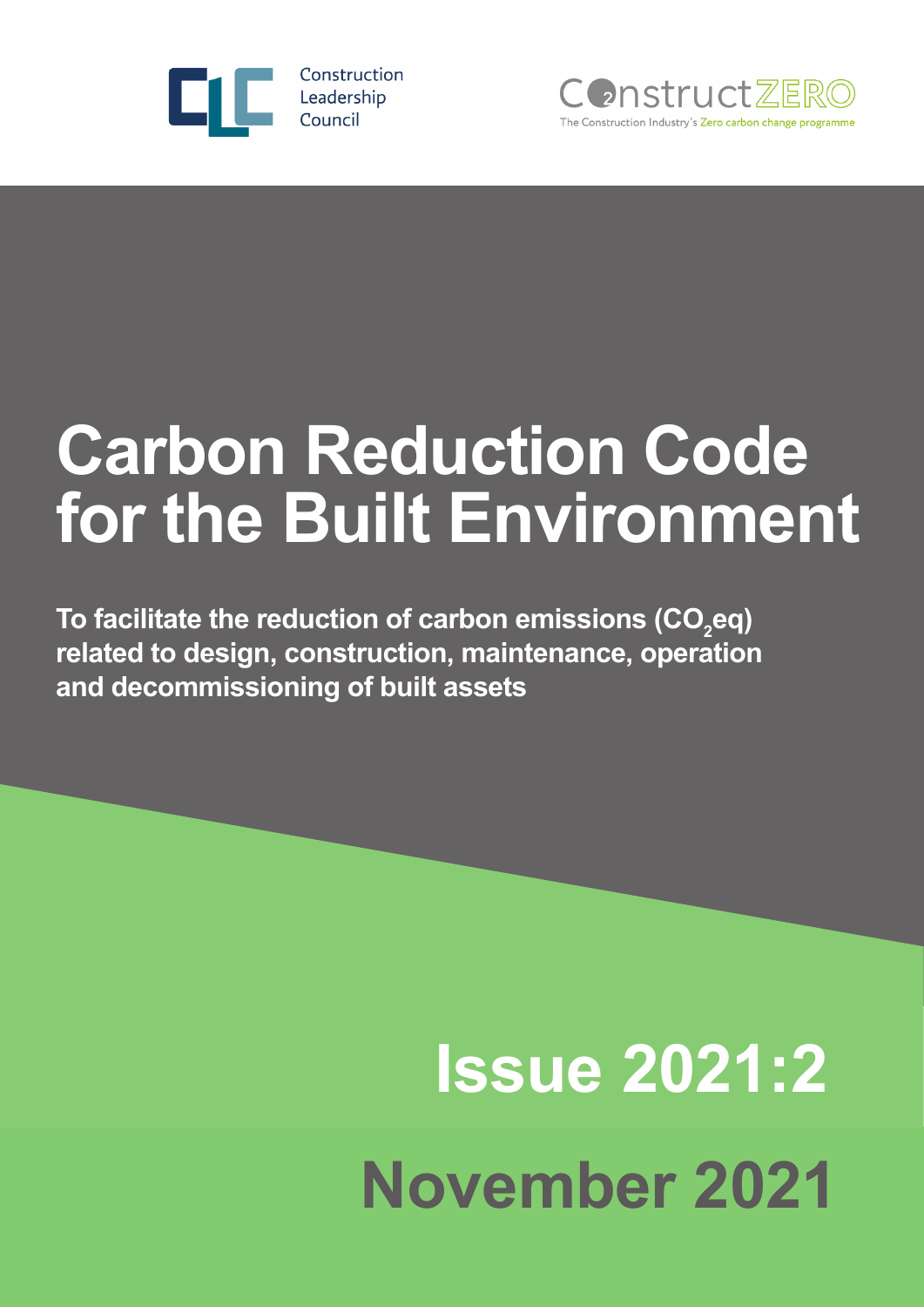



## **Carbon Reduction Code for the Built Environment**

To facilitate the reduction of carbon emissions (CO<sub>2</sub>eq) **related to design, construction, maintenance, operation and decommissioning of built assets**

# **Issue 2021:2 November 2021**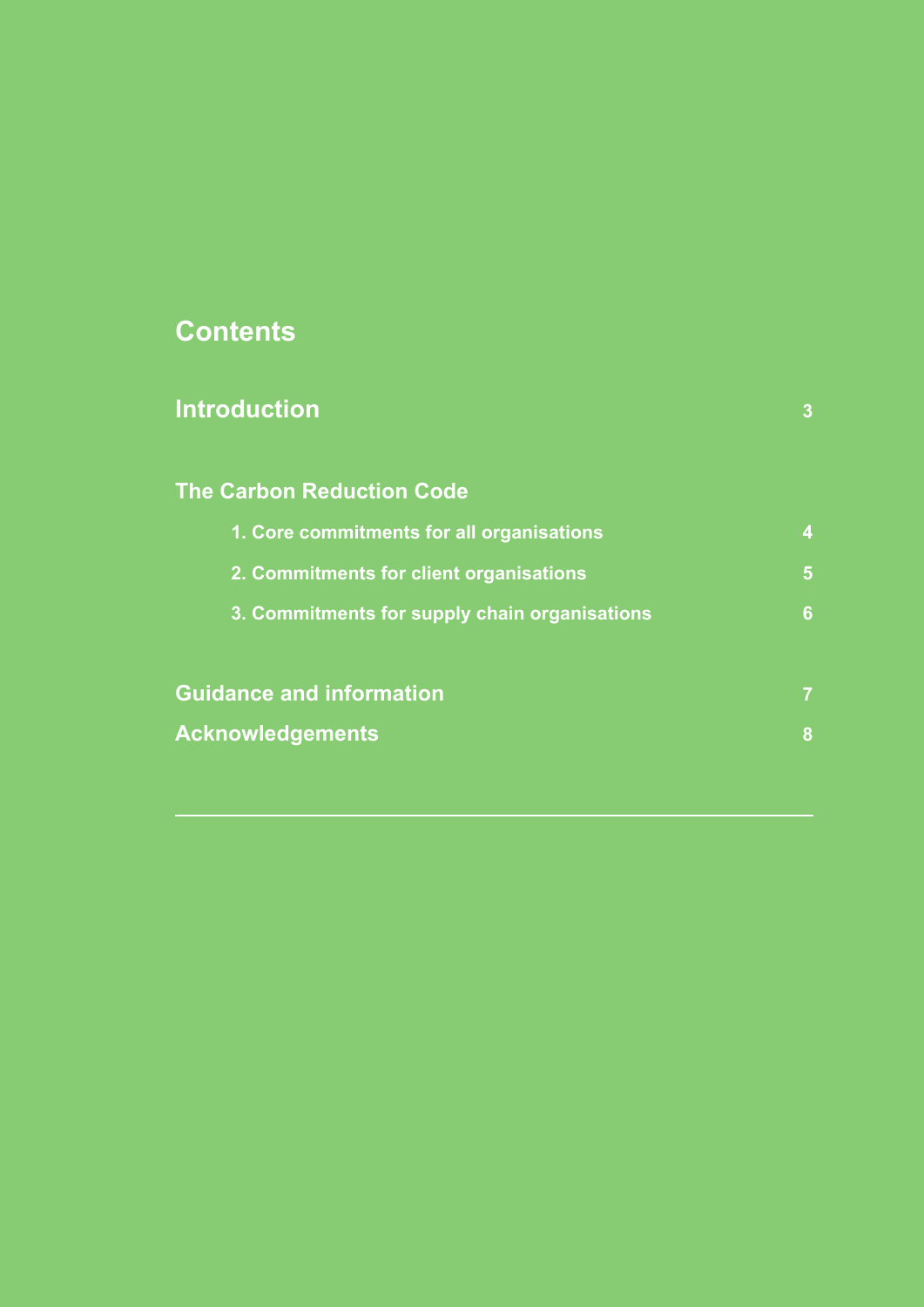#### **Contents**

| <b>Introduction</b>                           | $\overline{3}$          |
|-----------------------------------------------|-------------------------|
| <b>The Carbon Reduction Code</b>              |                         |
| 1. Core commitments for all organisations     | $\overline{\mathbf{4}}$ |
| 2. Commitments for client organisations       | 5                       |
| 3. Commitments for supply chain organisations | 6                       |
| <b>Guidance and information</b>               | $\overline{7}$          |
| <b>Acknowledgements</b>                       | 8                       |
|                                               |                         |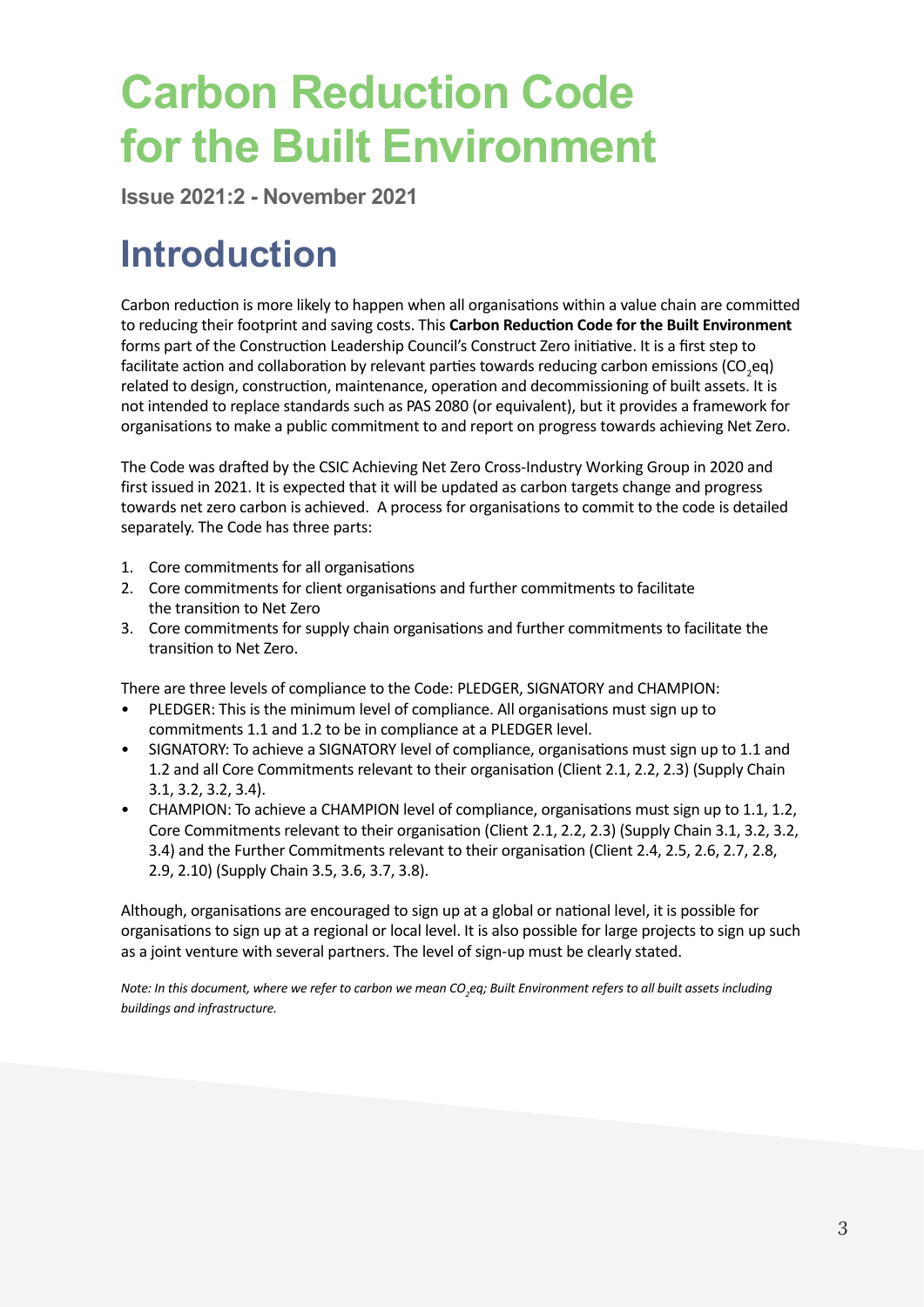## **Carbon Reduction Code for the Built Environment**

**Issue 2021:2 - November 2021**

#### **Introduction**

Carbon reduction is more likely to happen when all organisations within a value chain are committed to reducing their footprint and saving costs. This **Carbon Reduction Code for the Built Environment**  forms part of the Construction Leadership Council's Construct Zero initiative. It is a first step to facilitate action and collaboration by relevant parties towards reducing carbon emissions (CO<sub>2</sub>eq) related to design, construction, maintenance, operation and decommissioning of built assets. It is not intended to replace standards such as PAS 2080 (or equivalent), but it provides a framework for organisations to make a public commitment to and report on progress towards achieving Net Zero.

The Code was drafted by the CSIC Achieving Net Zero Cross-Industry Working Group in 2020 and first issued in 2021. It is expected that it will be updated as carbon targets change and progress towards net zero carbon is achieved. A process for organisations to commit to the code is detailed separately. The Code has three parts:

- 1. Core commitments for all organisations
- 2. Core commitments for client organisations and further commitments to facilitate the transition to Net Zero
- 3. Core commitments for supply chain organisations and further commitments to facilitate the transition to Net Zero.

There are three levels of compliance to the Code: PLEDGER, SIGNATORY and CHAMPION:

- PLEDGER: This is the minimum level of compliance. All organisations must sign up to commitments 1.1 and 1.2 to be in compliance at a PLEDGER level.
- SIGNATORY: To achieve a SIGNATORY level of compliance, organisations must sign up to 1.1 and 1.2 and all Core Commitments relevant to their organisation (Client 2.1, 2.2, 2.3) (Supply Chain 3.1, 3.2, 3.2, 3.4).
- CHAMPION: To achieve a CHAMPION level of compliance, organisations must sign up to 1.1, 1.2, Core Commitments relevant to their organisation (Client 2.1, 2.2, 2.3) (Supply Chain 3.1, 3.2, 3.2, 3.4) and the Further Commitments relevant to their organisation (Client 2.4, 2.5, 2.6, 2.7, 2.8, 2.9, 2.10) (Supply Chain 3.5, 3.6, 3.7, 3.8).

Although, organisations are encouraged to sign up at a global or national level, it is possible for organisations to sign up at a regional or local level. It is also possible for large projects to sign up such as a joint venture with several partners. The level of sign-up must be clearly stated.

*Note: In this document, where we refer to carbon we mean CO<sup>2</sup> eq; Built Environment refers to all built assets including buildings and infrastructure.*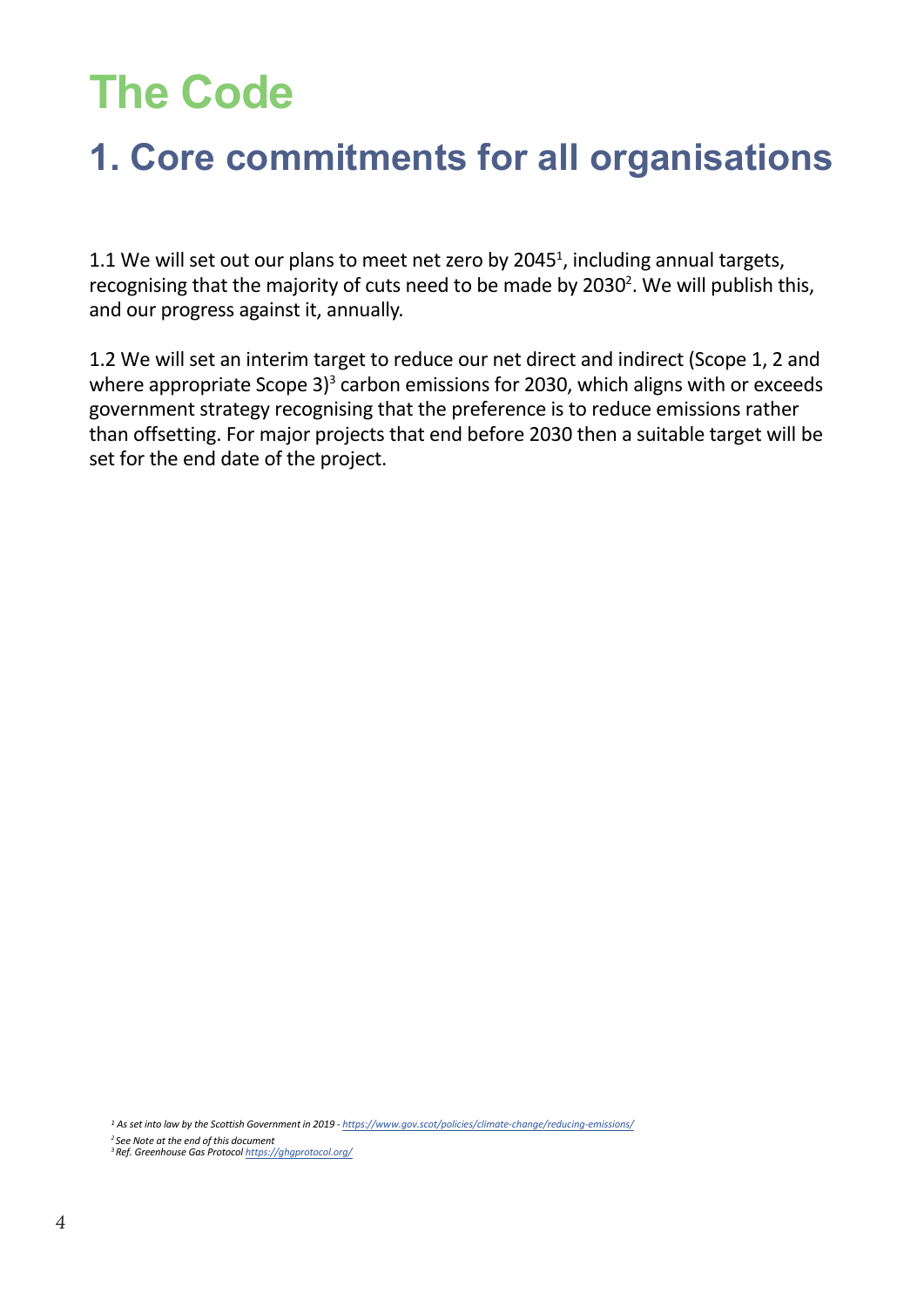## **The Code**

#### **1. Core commitments for all organisations**

1.1 We will set out our plans to meet net zero by 2045<sup>1</sup>, including annual targets, recognising that the majority of cuts need to be made by 2030<sup>2</sup>. We will publish this, and our progress against it, annually.

1.2 We will set an interim target to reduce our net direct and indirect (Scope 1, 2 and where appropriate Scope 3) $3$  carbon emissions for 2030, which aligns with or exceeds government strategy recognising that the preference is to reduce emissions rather than offsetting. For major projects that end before 2030 then a suitable target will be set for the end date of the project.

*1 As set into law by the Scottish Government in 2019 - https://www.gov.scot/policies/climate-change/reducing-emissions/*

*<sup>2</sup>See Note at the end of this document*

*<sup>3</sup>Ref. Greenhouse Gas Protocol https://ghgprotocol.org/*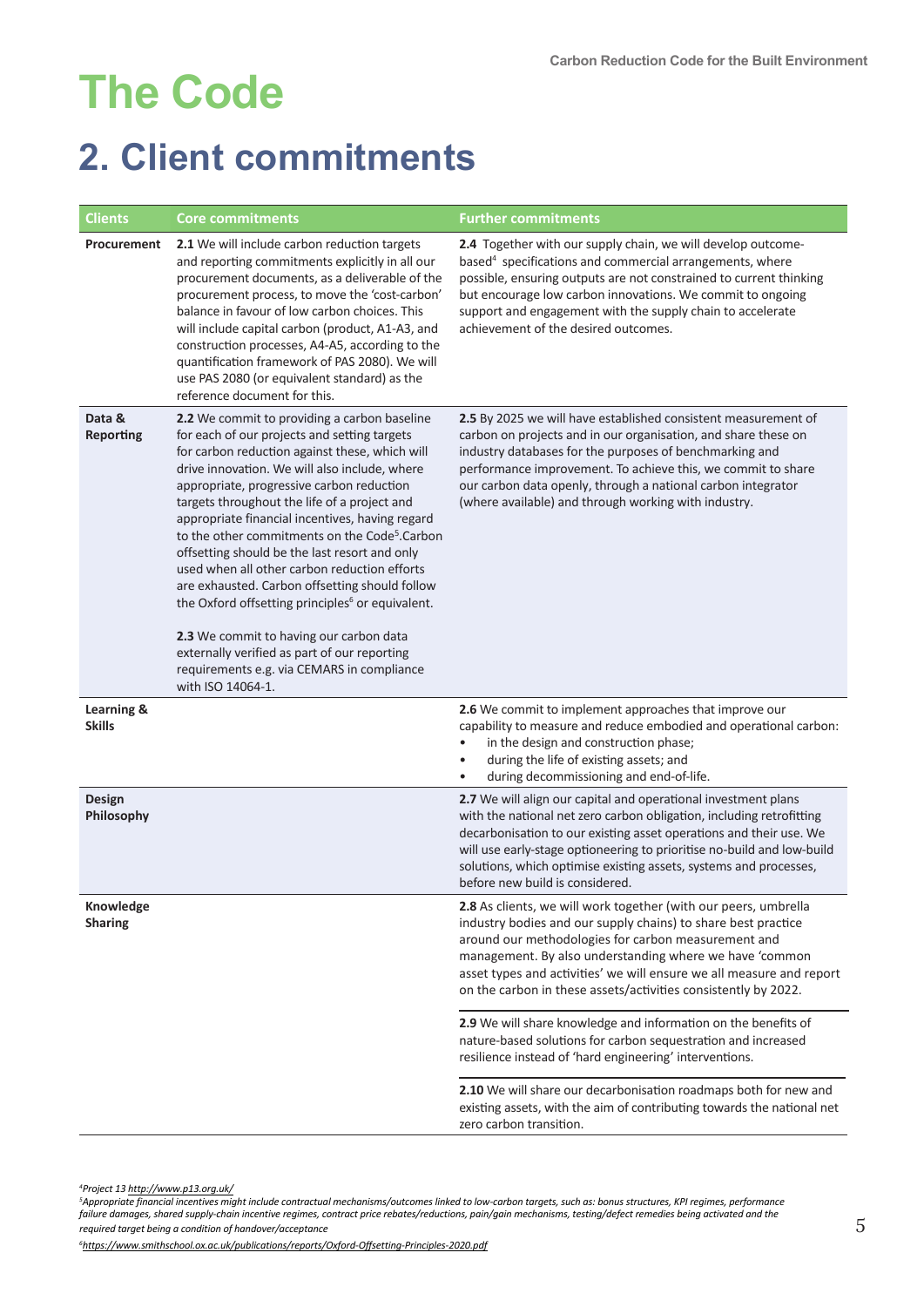## **The Code**

#### **2. Client commitments**

| <b>Clients</b>              | <b>Core commitments</b>                                                                                                                                                                                                                                                                                                                                                                                                                                                                                                                                                                                                                                                                                                                                                                       | <b>Further commitments</b>                                                                                                                                                                                                                                                                                                                                                                     |
|-----------------------------|-----------------------------------------------------------------------------------------------------------------------------------------------------------------------------------------------------------------------------------------------------------------------------------------------------------------------------------------------------------------------------------------------------------------------------------------------------------------------------------------------------------------------------------------------------------------------------------------------------------------------------------------------------------------------------------------------------------------------------------------------------------------------------------------------|------------------------------------------------------------------------------------------------------------------------------------------------------------------------------------------------------------------------------------------------------------------------------------------------------------------------------------------------------------------------------------------------|
| Procurement                 | 2.1 We will include carbon reduction targets<br>and reporting commitments explicitly in all our<br>procurement documents, as a deliverable of the<br>procurement process, to move the 'cost-carbon'<br>balance in favour of low carbon choices. This<br>will include capital carbon (product, A1-A3, and<br>construction processes, A4-A5, according to the<br>quantification framework of PAS 2080). We will<br>use PAS 2080 (or equivalent standard) as the<br>reference document for this.                                                                                                                                                                                                                                                                                                 | 2.4 Together with our supply chain, we will develop outcome-<br>based <sup>4</sup> specifications and commercial arrangements, where<br>possible, ensuring outputs are not constrained to current thinking<br>but encourage low carbon innovations. We commit to ongoing<br>support and engagement with the supply chain to accelerate<br>achievement of the desired outcomes.                 |
| Data &<br>Reporting         | 2.2 We commit to providing a carbon baseline<br>for each of our projects and setting targets<br>for carbon reduction against these, which will<br>drive innovation. We will also include, where<br>appropriate, progressive carbon reduction<br>targets throughout the life of a project and<br>appropriate financial incentives, having regard<br>to the other commitments on the Code <sup>5</sup> .Carbon<br>offsetting should be the last resort and only<br>used when all other carbon reduction efforts<br>are exhausted. Carbon offsetting should follow<br>the Oxford offsetting principles <sup>6</sup> or equivalent.<br>2.3 We commit to having our carbon data<br>externally verified as part of our reporting<br>requirements e.g. via CEMARS in compliance<br>with ISO 14064-1. | 2.5 By 2025 we will have established consistent measurement of<br>carbon on projects and in our organisation, and share these on<br>industry databases for the purposes of benchmarking and<br>performance improvement. To achieve this, we commit to share<br>our carbon data openly, through a national carbon integrator<br>(where available) and through working with industry.            |
| Learning &<br><b>Skills</b> |                                                                                                                                                                                                                                                                                                                                                                                                                                                                                                                                                                                                                                                                                                                                                                                               | 2.6 We commit to implement approaches that improve our<br>capability to measure and reduce embodied and operational carbon:<br>in the design and construction phase;<br>during the life of existing assets; and<br>$\bullet$<br>during decommissioning and end-of-life.<br>$\bullet$                                                                                                           |
| Design<br>Philosophy        |                                                                                                                                                                                                                                                                                                                                                                                                                                                                                                                                                                                                                                                                                                                                                                                               | 2.7 We will align our capital and operational investment plans<br>with the national net zero carbon obligation, including retrofitting<br>decarbonisation to our existing asset operations and their use. We<br>will use early-stage optioneering to prioritise no-build and low-build<br>solutions, which optimise existing assets, systems and processes,<br>before new build is considered. |
| Knowledge<br><b>Sharing</b> |                                                                                                                                                                                                                                                                                                                                                                                                                                                                                                                                                                                                                                                                                                                                                                                               | 2.8 As clients, we will work together (with our peers, umbrella<br>industry bodies and our supply chains) to share best practice<br>around our methodologies for carbon measurement and<br>management. By also understanding where we have 'common<br>asset types and activities' we will ensure we all measure and report<br>on the carbon in these assets/activities consistently by 2022.   |
|                             |                                                                                                                                                                                                                                                                                                                                                                                                                                                                                                                                                                                                                                                                                                                                                                                               | 2.9 We will share knowledge and information on the benefits of<br>nature-based solutions for carbon sequestration and increased<br>resilience instead of 'hard engineering' interventions.                                                                                                                                                                                                     |
|                             |                                                                                                                                                                                                                                                                                                                                                                                                                                                                                                                                                                                                                                                                                                                                                                                               | 2.10 We will share our decarbonisation roadmaps both for new and<br>existing assets, with the aim of contributing towards the national net<br>zero carbon transition.                                                                                                                                                                                                                          |

*<sup>4</sup>Project 13 http://www.p13.org.uk/*

<sup>5</sup>Appropriate financial incentives might include contractual mechanisms/outcomes linked to low-carbon targets, such as: bonus structures, KPI regimes, performance<br>failure damages, shared supply-chain incentive regimes, co *required target being a condition of handover/acceptance*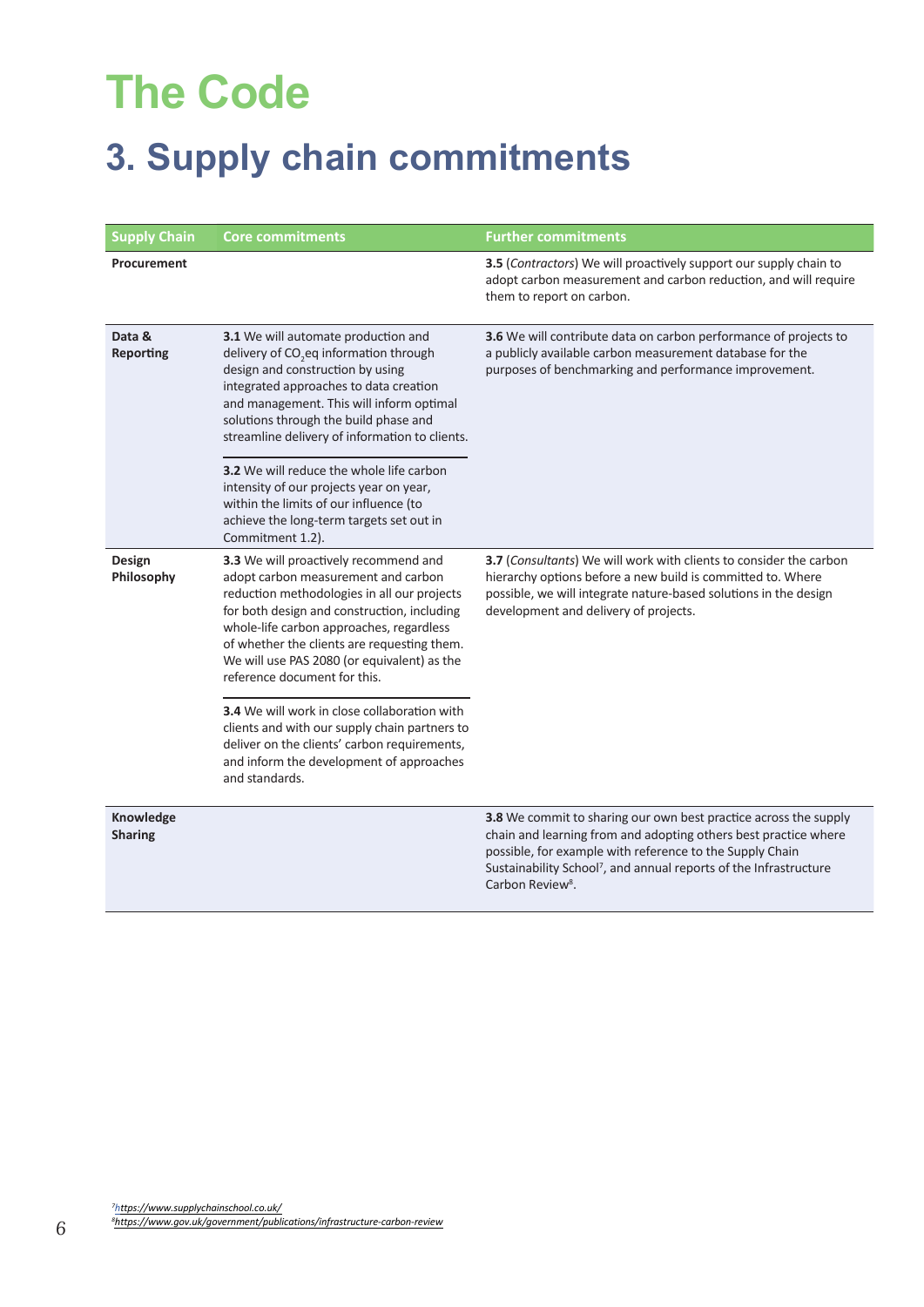## **The Code**

### **3. Supply chain commitments**

| <b>Supply Chain</b>         | <b>Core commitments</b>                                                                                                                                                                                                                                                                                                                              | <b>Further commitments</b>                                                                                                                                                                                                                                                                                       |  |
|-----------------------------|------------------------------------------------------------------------------------------------------------------------------------------------------------------------------------------------------------------------------------------------------------------------------------------------------------------------------------------------------|------------------------------------------------------------------------------------------------------------------------------------------------------------------------------------------------------------------------------------------------------------------------------------------------------------------|--|
| Procurement                 |                                                                                                                                                                                                                                                                                                                                                      | 3.5 (Contractors) We will proactively support our supply chain to<br>adopt carbon measurement and carbon reduction, and will require<br>them to report on carbon.                                                                                                                                                |  |
| Data &<br><b>Reporting</b>  | 3.1 We will automate production and<br>delivery of CO <sub>2</sub> eq information through<br>design and construction by using<br>integrated approaches to data creation<br>and management. This will inform optimal<br>solutions through the build phase and<br>streamline delivery of information to clients.                                       | 3.6 We will contribute data on carbon performance of projects to<br>a publicly available carbon measurement database for the<br>purposes of benchmarking and performance improvement.                                                                                                                            |  |
|                             | 3.2 We will reduce the whole life carbon<br>intensity of our projects year on year,<br>within the limits of our influence (to<br>achieve the long-term targets set out in<br>Commitment 1.2).                                                                                                                                                        |                                                                                                                                                                                                                                                                                                                  |  |
| Design<br>Philosophy        | 3.3 We will proactively recommend and<br>adopt carbon measurement and carbon<br>reduction methodologies in all our projects<br>for both design and construction, including<br>whole-life carbon approaches, regardless<br>of whether the clients are requesting them.<br>We will use PAS 2080 (or equivalent) as the<br>reference document for this. | 3.7 (Consultants) We will work with clients to consider the carbon<br>hierarchy options before a new build is committed to. Where<br>possible, we will integrate nature-based solutions in the design<br>development and delivery of projects.                                                                   |  |
|                             | 3.4 We will work in close collaboration with<br>clients and with our supply chain partners to<br>deliver on the clients' carbon requirements,<br>and inform the development of approaches<br>and standards.                                                                                                                                          |                                                                                                                                                                                                                                                                                                                  |  |
| Knowledge<br><b>Sharing</b> |                                                                                                                                                                                                                                                                                                                                                      | 3.8 We commit to sharing our own best practice across the supply<br>chain and learning from and adopting others best practice where<br>possible, for example with reference to the Supply Chain<br>Sustainability School <sup>7</sup> , and annual reports of the Infrastructure<br>Carbon Review <sup>8</sup> . |  |

*<sup>7</sup><https://www.supplychainschool.co.uk/> 8<https://www.gov.uk/government/publications/infrastructure-carbon-review>*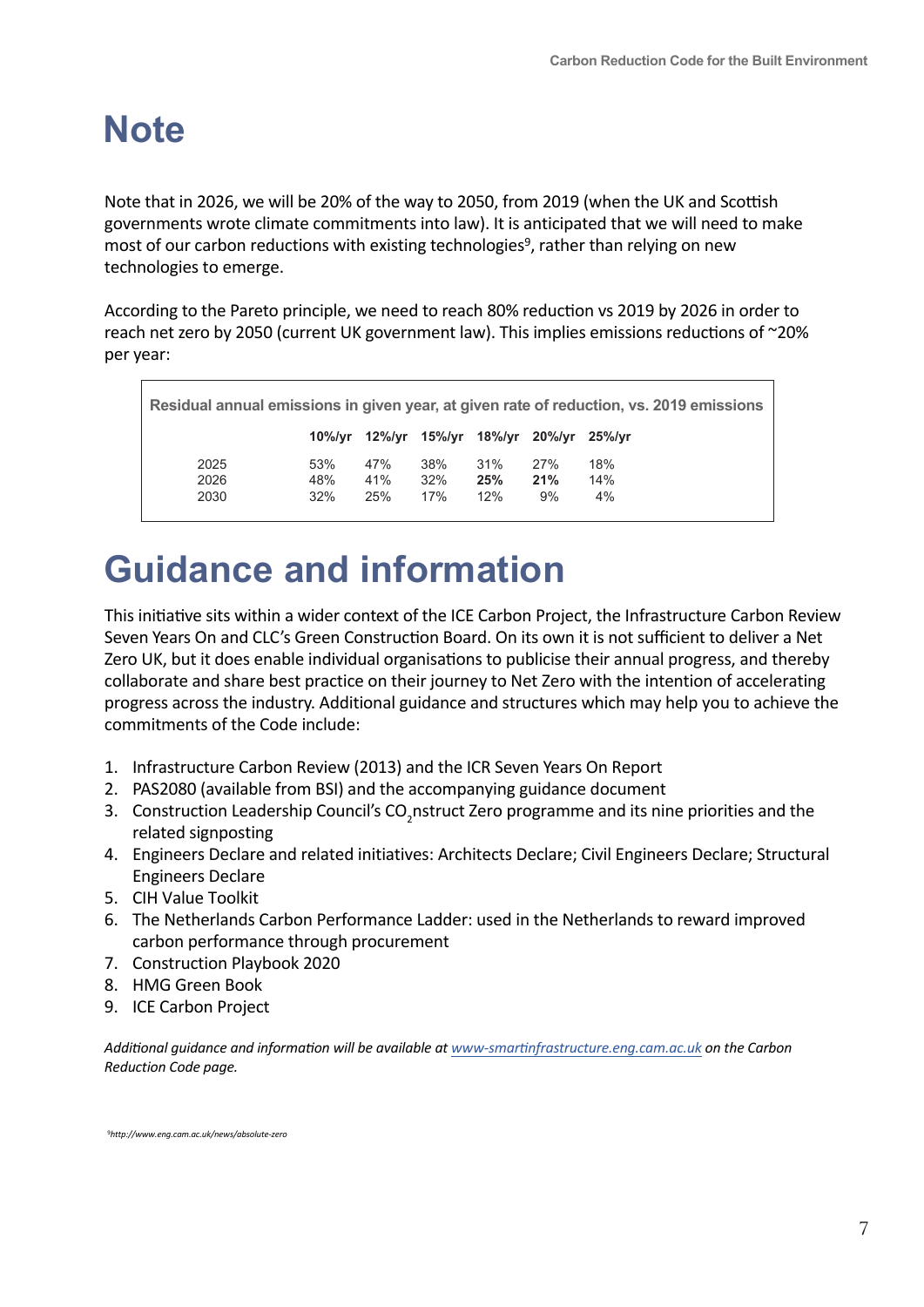#### **Note**

Note that in 2026, we will be 20% of the way to 2050, from 2019 (when the UK and Scottish governments wrote climate commitments into law). It is anticipated that we will need to make most of our carbon reductions with existing technologies<sup>9</sup>, rather than relying on new technologies to emerge.

According to the Pareto principle, we need to reach 80% reduction vs 2019 by 2026 in order to reach net zero by 2050 (current UK government law). This implies emissions reductions of ~20% per year:

| Residual annual emissions in given year, at given rate of reduction, vs. 2019 emissions |     |                                           |     |     |     |     |  |  |
|-----------------------------------------------------------------------------------------|-----|-------------------------------------------|-----|-----|-----|-----|--|--|
|                                                                                         |     | 10%/yr 12%/yr 15%/yr 18%/yr 20%/yr 25%/yr |     |     |     |     |  |  |
| 2025                                                                                    | 53% | 47%                                       | 38% | 31% | 27% | 18% |  |  |
| 2026                                                                                    | 48% | 41%                                       | 32% | 25% | 21% | 14% |  |  |
| 2030                                                                                    | 32% | 25%                                       | 17% | 12% | 9%  | 4%  |  |  |

### **Guidance and information**

This initiative sits within a wider context of the ICE Carbon Project, the Infrastructure Carbon Review Seven Years On and CLC's Green Construction Board. On its own it is not sufficient to deliver a Net Zero UK, but it does enable individual organisations to publicise their annual progress, and thereby collaborate and share best practice on their journey to Net Zero with the intention of accelerating progress across the industry. Additional guidance and structures which may help you to achieve the commitments of the Code include:

- 1. [Infrastructure Carbon Review \(2013\)](https://www.gov.uk/government/publications/infrastructure-carbon-review) and [the ICR Seven Years On Report](https://www.constructionleadershipcouncil.co.uk/wp-content/uploads/2021/04/Infrastructure-Carbon-Review-seven-years-on_March-2021.pdf)
- 2. PAS2080 (available [from BSI\) and the accompanying guidance document](http://www.constructionleadershipcouncil.co.uk/wp-content/uploads/2019/06/Guidance-Document-for-PAS2080_vFinal.pdf)
- 3. [Construction Leadership Council's CO](https://www.constructionleadershipcouncil.co.uk/constructzero/)<sub>2</sub>nstruct Zero programme and its [nine priorities and the](https://www.constructionleadershipcouncil.co.uk/constructzero/priorities/) related signposting
- 4. [Engineers Declare and re](https://www.engineersdeclare.com/)lated initiatives: [Architects Declare;](https://www.architectsdeclare.com/) [Civil Engineers Declare;](https://www.civilengineersdeclare.com/) [Structural](https://www.structuralengineersdeclare.com/) [Engineers Declare](https://www.structuralengineersdeclare.com/)
- 5. [CIH Value](https://constructioninnovationhub.org.uk/value-toolkit/) Toolkit
- 6. The Netherlands Carbon Performance [Ladder: used in the Netherlands to reward improved](http://www.co2performanceladder.com/) carbon performance through procurement
- 7. [Construction Playbook 2020](https://assets.publishing.service.gov.uk/government/uploads/system/uploads/attachment_data/file/941536/The_Construction_Playbook.pdf)
- 8. [HMG Green Book](https://www.gov.uk/government/publications/the-green-book-appraisal-and-evaluation-in-central-governent)
- 9. [ICE Carbon Project](https://www.ice.org.uk/knowledge-and-resources/carbon-project)

*Additional guidance and information will be available at www-smartinfrastructure.eng.cam.ac.uk on the Carbon Reduction Code page.*

9*<http://www.eng.cam.ac.uk/news/absolute-zero>*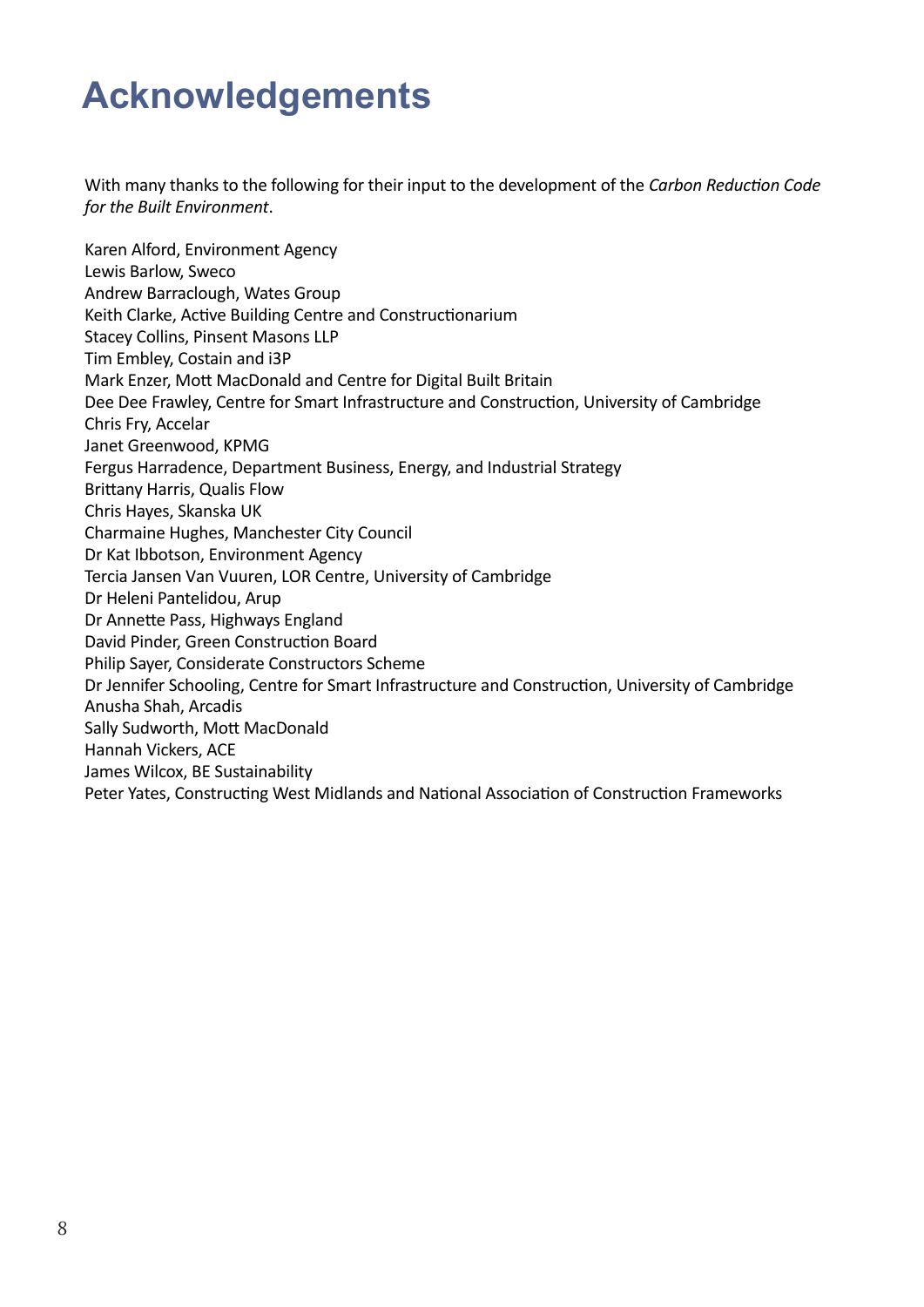#### **Acknowledgements**

With many thanks to the following for their input to the development of the *Carbon Reduction Code for the Built Environment*.

Karen Alford, Environment Agency Lewis Barlow, Sweco Andrew Barraclough, Wates Group Keith Clarke, Active Building Centre and Constructionarium Stacey Collins, Pinsent Masons LLP Tim Embley, Costain and i3P Mark Enzer, Mott MacDonald and Centre for Digital Built Britain Dee Dee Frawley, Centre for Smart Infrastructure and Construction, University of Cambridge Chris Fry, Accelar Janet Greenwood, KPMG Fergus Harradence, Department Business, Energy, and Industrial Strategy Brittany Harris, Qualis Flow Chris Hayes, Skanska UK Charmaine Hughes, Manchester City Council Dr Kat Ibbotson, Environment Agency Tercia Jansen Van Vuuren, LOR Centre, University of Cambridge Dr Heleni Pantelidou, Arup Dr Annette Pass, Highways England David Pinder, Green Construction Board Philip Sayer, Considerate Constructors Scheme Dr Jennifer Schooling, Centre for Smart Infrastructure and Construction, University of Cambridge Anusha Shah, Arcadis Sally Sudworth, Mott MacDonald Hannah Vickers, ACE James Wilcox, BE Sustainability Peter Yates, Constructing West Midlands and National Association of Construction Frameworks